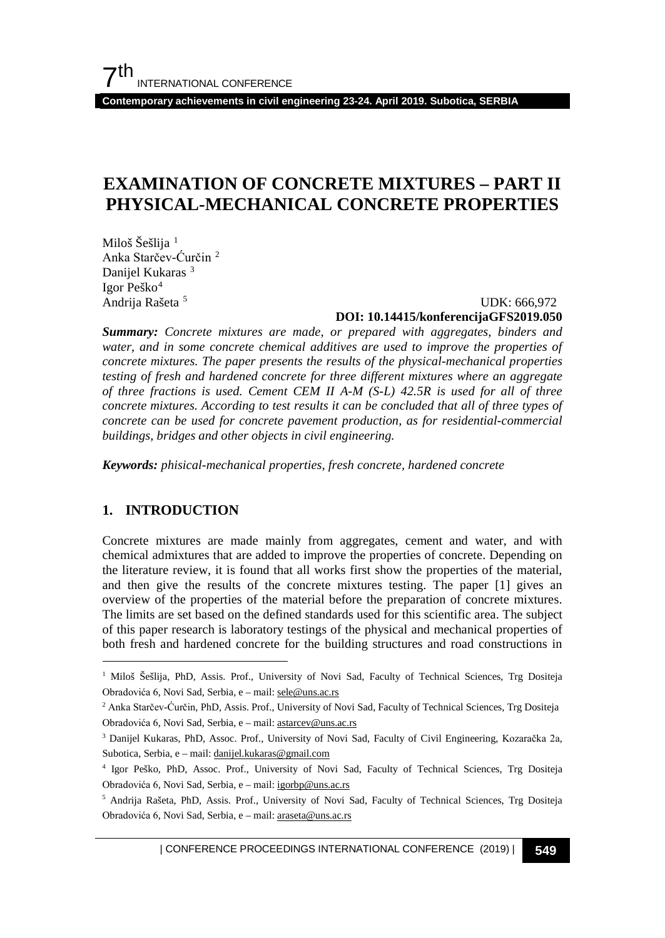**Contemporary achievements in civil engineering 23-24. April 2019. Subotica, SERBIA**

## **EXAMINATION OF CONCRETE MIXTURES – PART II PHYSICAL-MECHANICAL CONCRETE PROPERTIES**

Miloš Šešlija<sup>[1](#page-0-0)</sup> Anka Starčev-Ćurčin [2](#page-0-1) Danijel Kukaras<sup>[3](#page-0-2)</sup> Igor Peško[4](#page-0-3) Andrija Rašeta [5](#page-0-4)

#### UDK: 666,972 **DOI: 10.14415/konferencijaGFS2019.050**

*Summary: Concrete mixtures are made, or prepared with aggregates, binders and water, and in some concrete chemical additives are used to improve the properties of concrete mixtures. The paper presents the results of the physical-mechanical properties testing of fresh and hardened concrete for three different mixtures where an aggregate of three fractions is used. Cement CEM II A-M (S-L) 42.5R is used for all of three concrete mixtures. According to test results it can be concluded that all of three types of concrete can be used for concrete pavement production, as for residential-commercial buildings, bridges and other objects in civil engineering.*

*Keywords: phisical-mechanical properties, fresh concrete, hardened concrete*

## **1. INTRODUCTION**

Concrete mixtures are made mainly from aggregates, cement and water, and with chemical admixtures that are added to improve the properties of concrete. Depending on the literature review, it is found that all works first show the properties of the material, and then give the results of the concrete mixtures testing. The paper [1] gives an overview of the properties of the material before the preparation of concrete mixtures. The limits are set based on the defined standards used for this scientific area. The subject of this paper research is laboratory testings of the physical and mechanical properties of both fresh and hardened concrete for the building structures and road constructions in

<span id="page-0-0"></span><sup>&</sup>lt;sup>1</sup> Miloš Šešlija, PhD, Assis. Prof., University of Novi Sad, Faculty of Technical Sciences, Trg Dositeja Obradovića 6, Novi Sad, Serbia, e – mail[: sele@uns.ac.rs](mailto:sele@uns.ac.rs)

<span id="page-0-1"></span><sup>2</sup> Anka Starčev-Ćurčin, PhD, Assis. Prof., University of Novi Sad, Faculty of Technical Sciences, Trg Dositeja Obradovića 6, Novi Sad, Serbia, e – mail[: astarcev@uns.ac.rs](mailto:astarcev@uns.ac.rs)

<span id="page-0-2"></span><sup>3</sup> Danijel Kukaras, PhD, Assoc. Prof., University of Novi Sad, Faculty of Civil Engineering, Kozaračka 2a, Subotica, Serbia, e – mail[: danijel.kukaras@gmail.com](mailto:danijel.kukaras@gmail.com)

<span id="page-0-3"></span><sup>4</sup> Igor Peško, PhD, Assoc. Prof., University of Novi Sad, Faculty of Technical Sciences, Trg Dositeja Obradovića 6, Novi Sad, Serbia, e – mail[: igorbp@uns.ac.rs](mailto:igorbp@uns.ac.rs)

<span id="page-0-4"></span><sup>5</sup> Andrija Rašeta, PhD, Assis. Prof., University of Novi Sad, Faculty of Technical Sciences, Trg Dositeja Obradovića 6, Novi Sad, Serbia, e – mail[: araseta@uns.ac.rs](mailto:araseta@uns.ac.rs)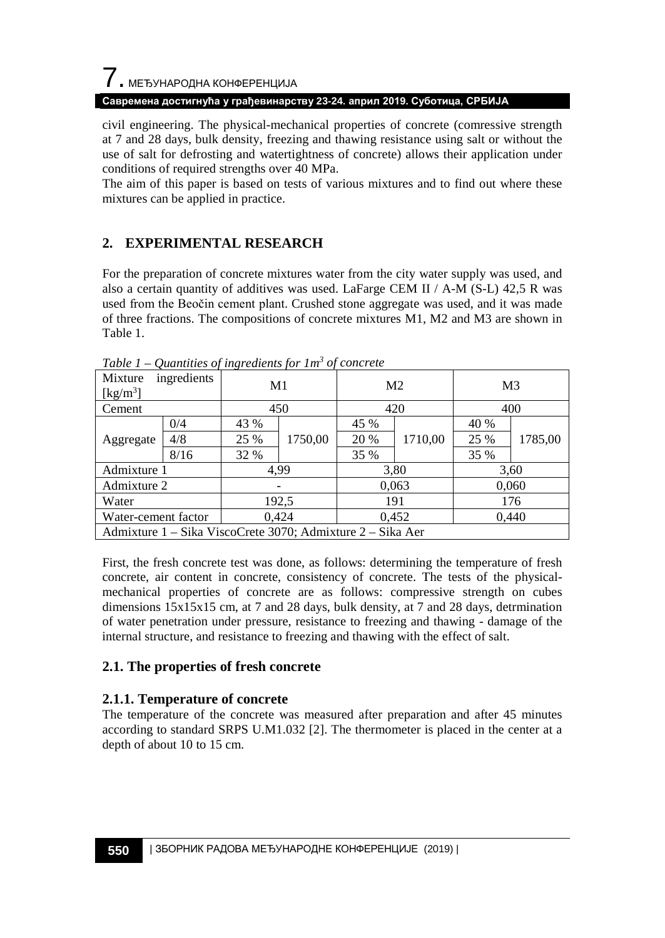# $\overline{\phantom{a}}$ . МЕЂУНАРОДНА КОНФЕРЕНЦИЈА

#### **Савремена достигнућа у грађевинарству 23-24. април 2019. Суботица, СРБИЈА**

civil engineering. The physical-mechanical properties of concrete (comressive strength at 7 and 28 days, bulk density, freezing and thawing resistance using salt or without the use of salt for defrosting and watertightness of concrete) allows their application under conditions of required strengths over 40 MPa.

The aim of this paper is based on tests of various mixtures and to find out where these mixtures can be applied in practice.

## **2. EXPERIMENTAL RESEARCH**

For the preparation of concrete mixtures water from the city water supply was used, and also a certain quantity of additives was used. LaFarge CEM II / A-M (S-L) 42,5 R was used from the Beočin cement plant. Crushed stone aggregate was used, and it was made of three fractions. The compositions of concrete mixtures M1, M2 and M3 are shown in Table 1.

| ingredients<br>Mixture<br>[kg/m <sup>3</sup> ]             |      | M1    |         | M <sub>2</sub> |         | M <sub>3</sub> |         |
|------------------------------------------------------------|------|-------|---------|----------------|---------|----------------|---------|
| Cement                                                     |      | 450   |         | 420            |         | 400            |         |
|                                                            | 0/4  | 43 %  |         | 45 %           |         | 40 %           |         |
| Aggregate                                                  | 4/8  | 25 %  | 1750,00 | 20 %           | 1710,00 | 25 %           | 1785,00 |
|                                                            | 8/16 | 32 %  |         | 35 %           |         | 35 %           |         |
| Admixture 1                                                |      | 4.99  |         | 3,80           |         | 3,60           |         |
| Admixture 2                                                |      |       |         | 0,063          |         | 0,060          |         |
| Water                                                      |      | 192,5 |         | 191            |         | 176            |         |
| Water-cement factor                                        |      | 0,424 |         | 0,452          |         | 0,440          |         |
| Admixture 1 – Sika ViscoCrete 3070; Admixture 2 – Sika Aer |      |       |         |                |         |                |         |

*Table 1 – Quantities of ingredients for 1m3 of concrete*

First, the fresh concrete test was done, as follows: determining the temperature of fresh concrete, air content in concrete, consistency of concrete. The tests of the physicalmechanical properties of concrete are as follows: compressive strength on cubes dimensions 15x15x15 cm, at 7 and 28 days, bulk density, at 7 and 28 days, detrmination of water penetration under pressure, resistance to freezing and thawing - damage of the internal structure, and resistance to freezing and thawing with the effect of salt.

#### **2.1. The properties of fresh concrete**

#### **2.1.1. Temperature of concrete**

The temperature of the concrete was measured after preparation and after 45 minutes according to standard SRPS U.M1.032 [2]. The thermometer is placed in the center at a depth of about 10 to 15 cm.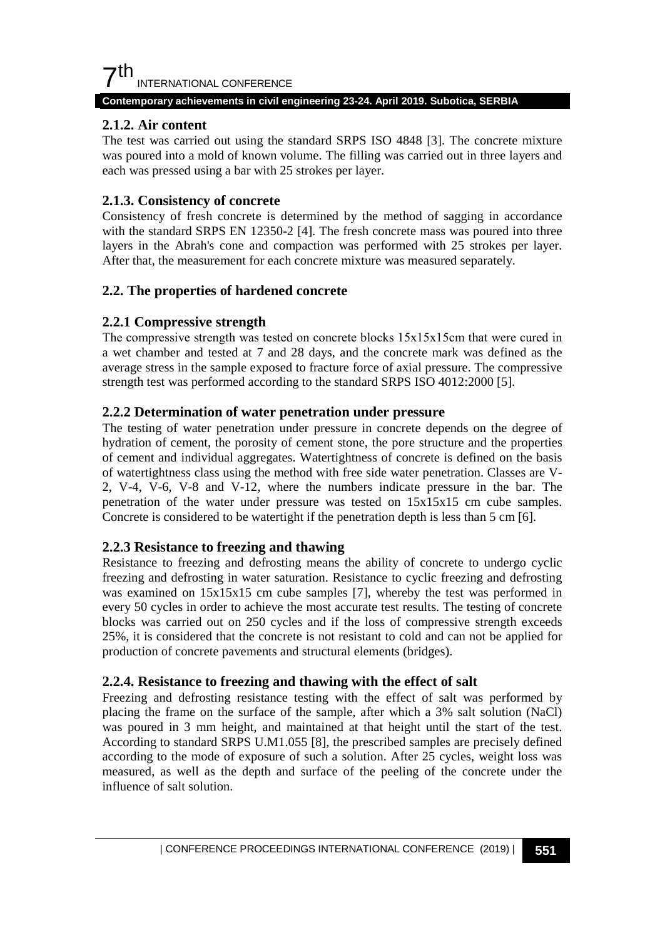

#### **Contemporary achievements in civil engineering 23-24. April 2019. Subotica, SERBIA**

#### **2.1.2. Air content**

The test was carried out using the standard SRPS ISO 4848 [3]. The concrete mixture was poured into a mold of known volume. The filling was carried out in three layers and each was pressed using a bar with 25 strokes per layer.

#### **2.1.3. Consistency of concrete**

Consistency of fresh concrete is determined by the method of sagging in accordance with the standard SRPS EN 12350-2 [4]. The fresh concrete mass was poured into three layers in the Abrah's cone and compaction was performed with 25 strokes per layer. After that, the measurement for each concrete mixture was measured separately.

#### **2.2. The properties of hardened concrete**

#### **2.2.1 Compressive strength**

The compressive strength was tested on concrete blocks  $15x15x15$ cm that were cured in a wet chamber and tested at 7 and 28 days, and the concrete mark was defined as the average stress in the sample exposed to fracture force of axial pressure. The compressive strength test was performed according to the standard SRPS ISO 4012:2000 [5].

#### **2.2.2 Determination of water penetration under pressure**

The testing of water penetration under pressure in concrete depends on the degree of hydration of cement, the porosity of cement stone, the pore structure and the properties of cement and individual aggregates. Watertightness of concrete is defined on the basis of watertightness class using the method with free side water penetration. Classes are V-2, V-4, V-6, V-8 and V-12, where the numbers indicate pressure in the bar. The penetration of the water under pressure was tested on 15x15x15 cm cube samples. Concrete is considered to be watertight if the penetration depth is less than 5 cm [6].

#### **2.2.3 Resistance to freezing and thawing**

Resistance to freezing and defrosting means the ability of concrete to undergo cyclic freezing and defrosting in water saturation. Resistance to cyclic freezing and defrosting was examined on  $15x15x15$  cm cube samples [7], whereby the test was performed in every 50 cycles in order to achieve the most accurate test results. The testing of concrete blocks was carried out on 250 cycles and if the loss of compressive strength exceeds 25%, it is considered that the concrete is not resistant to cold and can not be applied for production of concrete pavements and structural elements (bridges).

#### **2.2.4. Resistance to freezing and thawing with the effect of salt**

Freezing and defrosting resistance testing with the effect of salt was performed by placing the frame on the surface of the sample, after which a 3% salt solution (NaCl) was poured in 3 mm height, and maintained at that height until the start of the test. According to standard SRPS U.M1.055 [8], the prescribed samples are precisely defined according to the mode of exposure of such a solution. After 25 cycles, weight loss was measured, as well as the depth and surface of the peeling of the concrete under the influence of salt solution.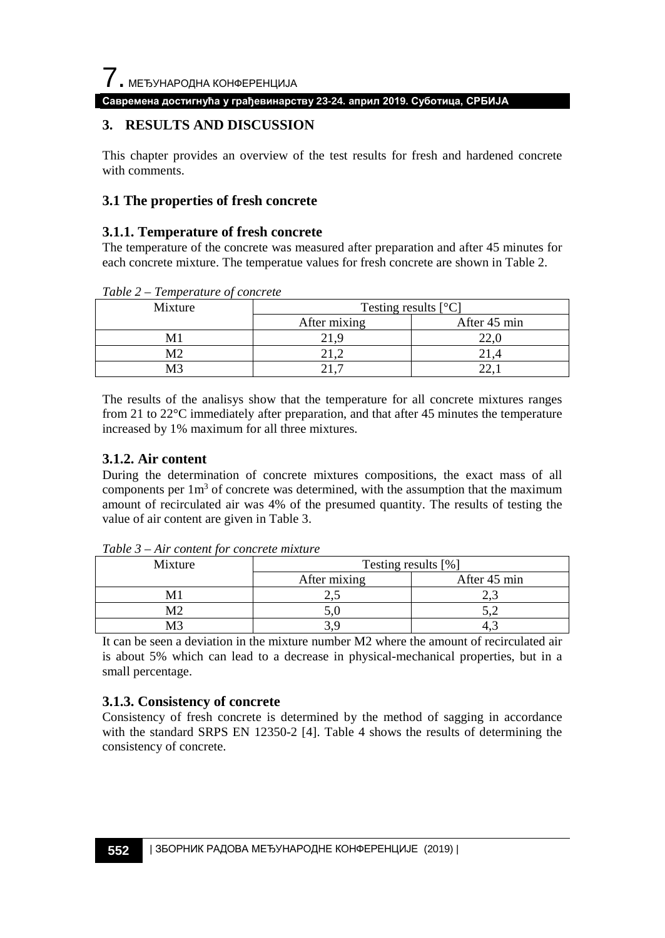

**Савремена достигнућа у грађевинарству 23-24. април 2019. Суботица, СРБИЈА**

## **3. RESULTS AND DISCUSSION**

This chapter provides an overview of the test results for fresh and hardened concrete with comments.

#### **3.1 The properties of fresh concrete**

#### **3.1.1. Temperature of fresh concrete**

The temperature of the concrete was measured after preparation and after 45 minutes for each concrete mixture. The temperatue values for fresh concrete are shown in Table 2.

*Table 2 – Temperature of concrete*

| Mixture | Testing results $[°C]$ |              |  |  |
|---------|------------------------|--------------|--|--|
|         | After mixing           | After 45 min |  |  |
|         | ∠⊥                     | A            |  |  |
| M2      |                        |              |  |  |
| .A?     | <u>.</u>               |              |  |  |

The results of the analisys show that the temperature for all concrete mixtures ranges from 21 to 22°C immediately after preparation, and that after 45 minutes the temperature increased by 1% maximum for all three mixtures.

#### **3.1.2. Air content**

During the determination of concrete mixtures compositions, the exact mass of all components per  $1m<sup>3</sup>$  of concrete was determined, with the assumption that the maximum amount of recirculated air was 4% of the presumed quantity. The results of testing the value of air content are given in Table 3.

| Mixture | Testing results [%] |              |  |  |
|---------|---------------------|--------------|--|--|
|         | After mixing        | After 45 min |  |  |
|         | <u>.</u>            | ∸⊷           |  |  |
| M٦      | J.                  |              |  |  |
| .⁄13    |                     |              |  |  |

*Table 3 – Air content for concrete mixture*

It can be seen a deviation in the mixture number M2 where the amount of recirculated air is about 5% which can lead to a decrease in physical-mechanical properties, but in a small percentage.

#### **3.1.3. Consistency of concrete**

Consistency of fresh concrete is determined by the method of sagging in accordance with the standard SRPS EN 12350-2 [4]. Table 4 shows the results of determining the consistency of concrete.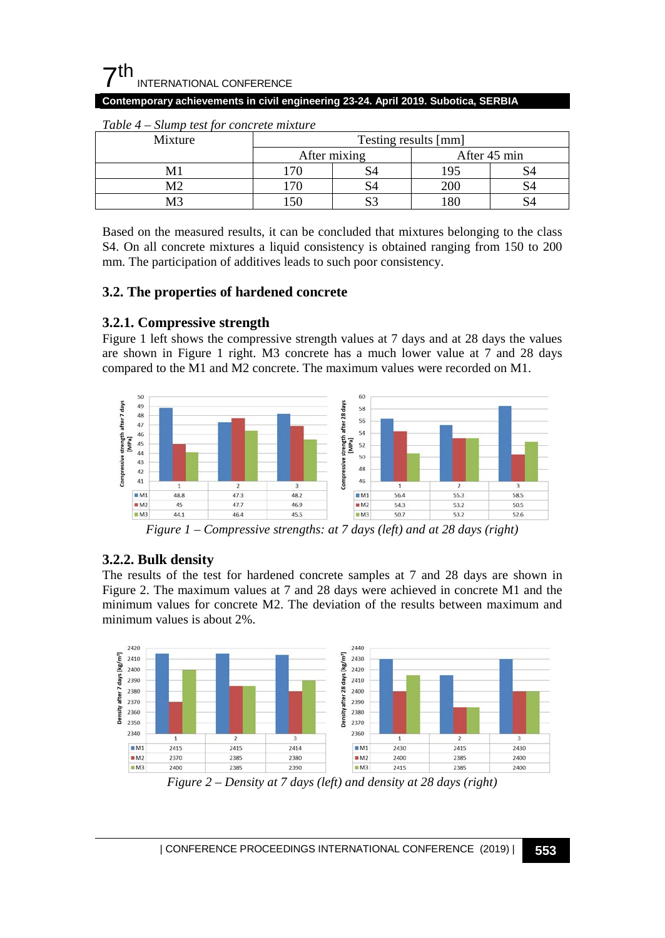## $\mathsf{\Sigma}$ th INTERNATIONAL CONFERENCE

#### **Contemporary achievements in civil engineering 23-24. April 2019. Subotica, SERBIA**

| Mixture | Testing results [mm] |  |              |    |  |
|---------|----------------------|--|--------------|----|--|
|         | After mixing         |  | After 45 min |    |  |
|         |                      |  | .95          | S4 |  |
| М2      |                      |  | 200          | S4 |  |
|         |                      |  | .80          |    |  |

#### *Table 4 – Slump test for concrete mixture*

Based on the measured results, it can be concluded that mixtures belonging to the class S4. On all concrete mixtures a liquid consistency is obtained ranging from 150 to 200 mm. The participation of additives leads to such poor consistency.

## **3.2. The properties of hardened concrete**

## **3.2.1. Compressive strength**

Figure 1 left shows the compressive strength values at 7 days and at 28 days the values are shown in Figure 1 right. M3 concrete has a much lower value at 7 and 28 days compared to the M1 and M2 concrete. The maximum values were recorded on M1.



*Figure 1 – Compressive strengths: at 7 days (left) and at 28 days (right)*

## **3.2.2. Bulk density**

The results of the test for hardened concrete samples at 7 and 28 days are shown in Figure 2. The maximum values at 7 and 28 days were achieved in concrete M1 and the minimum values for concrete M2. The deviation of the results between maximum and minimum values is about 2%.



*Figure 2 – Density at 7 days (left) and density at 28 days (right)*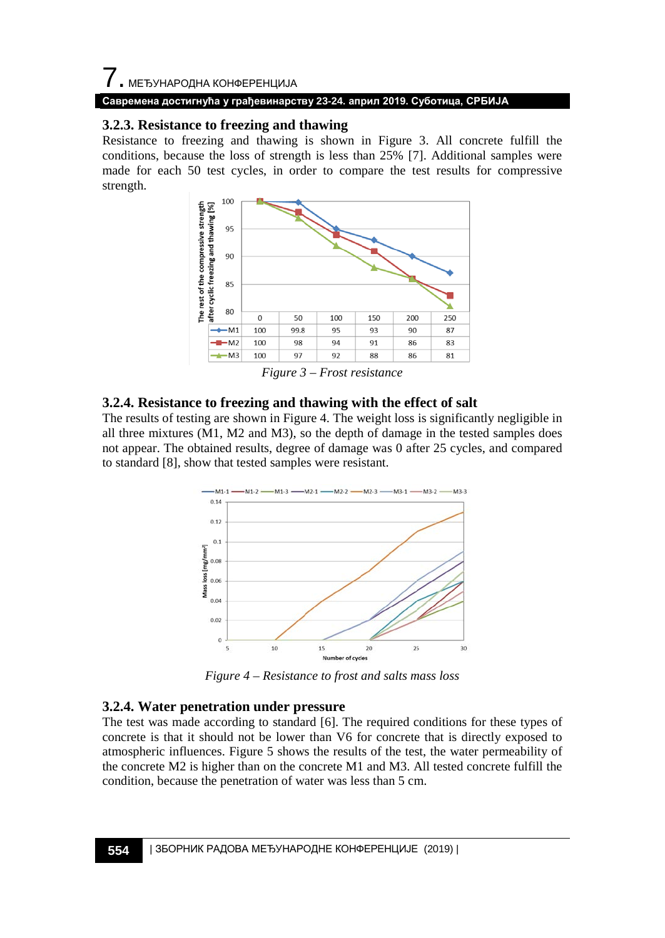#### **Савремена достигнућа у грађевинарству 23-24. април 2019. Суботица, СРБИЈА**

#### **3.2.3. Resistance to freezing and thawing**

Resistance to freezing and thawing is shown in Figure 3. All concrete fulfill the conditions, because the loss of strength is less than 25% [7]. Additional samples were made for each 50 test cycles, in order to compare the test results for compressive strength.



*Figure 3 – Frost resistance*

#### **3.2.4. Resistance to freezing and thawing with the effect of salt**

The results of testing are shown in Figure 4. The weight loss is significantly negligible in all three mixtures (M1, M2 and M3), so the depth of damage in the tested samples does not appear. The obtained results, degree of damage was 0 after 25 cycles, and compared to standard [8], show that tested samples were resistant.



*Figure 4 – Resistance to frost and salts mass loss*

#### **3.2.4. Water penetration under pressure**

The test was made according to standard [6]. The required conditions for these types of concrete is that it should not be lower than V6 for concrete that is directly exposed to atmospheric influences. Figure 5 shows the results of the test, the water permeability of the concrete M2 is higher than on the concrete M1 and M3. All tested concrete fulfill the condition, because the penetration of water was less than 5 cm.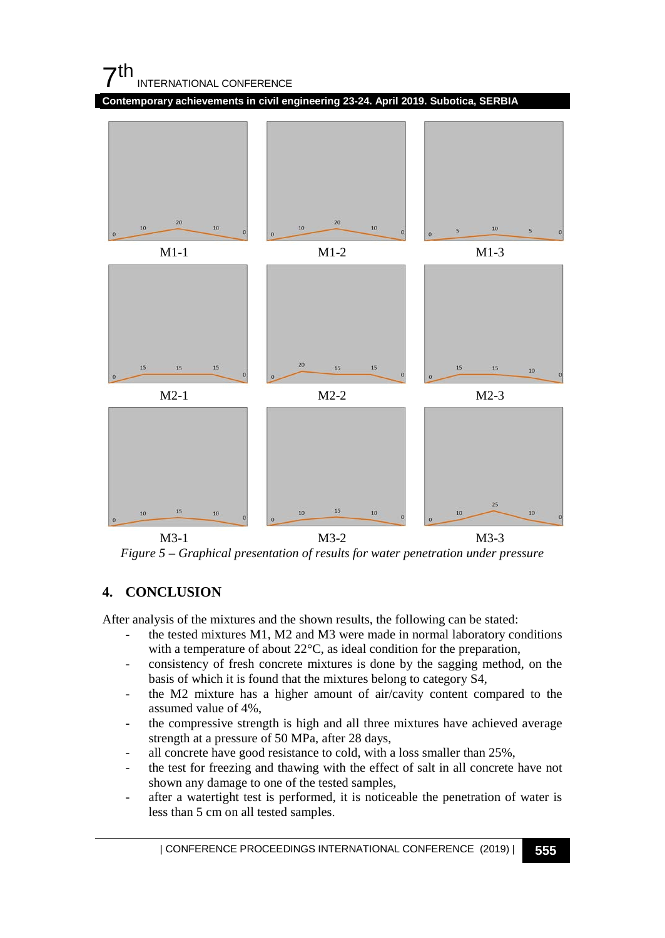

M3-1 M3-2 M3-3 *Figure 5 – Graphical presentation of results for water penetration under pressure*

15

 $10$ 

## **4. CONCLUSION**

15

After analysis of the mixtures and the shown results, the following can be stated:

- the tested mixtures M1, M2 and M3 were made in normal laboratory conditions with a temperature of about 22°C, as ideal condition for the preparation,
- consistency of fresh concrete mixtures is done by the sagging method, on the basis of which it is found that the mixtures belong to category S4,
- the M2 mixture has a higher amount of air/cavity content compared to the assumed value of 4%,
- the compressive strength is high and all three mixtures have achieved average strength at a pressure of 50 MPa, after 28 days,
- all concrete have good resistance to cold, with a loss smaller than 25%,
- the test for freezing and thawing with the effect of salt in all concrete have not shown any damage to one of the tested samples,
- after a watertight test is performed, it is noticeable the penetration of water is less than 5 cm on all tested samples.